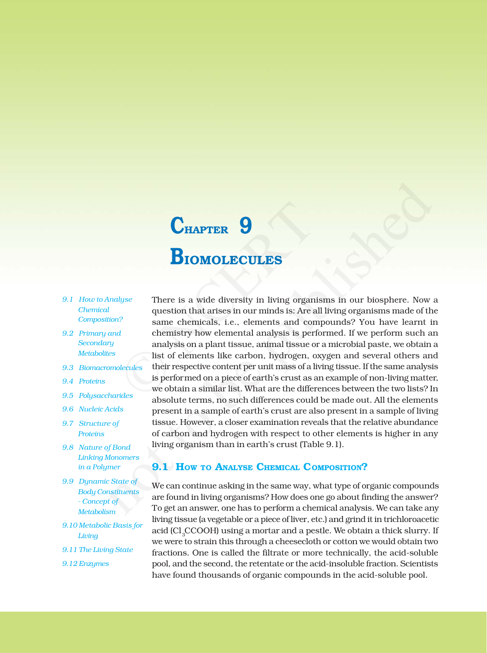# **BIOMOLECULES CHAPTER 9**

- *9.1 How to Analyse Chemical Composition?*
- *9.2 Primary and Secondary Metabolites*
- *9.3 Biomacromolecules*
- *9.4 Proteins*
- *9.5 Polysaccharides*
- *9.6 Nucleic Acids*
- *9.7 Structure of Proteins*
- *9.8 Nature of Bond Linking Monomers in a Polymer*
- *9.9 Dynamic State of Body Constituents - Concept of Metabolism*
- *9.10 Metabolic Basis for Living*
- *9.11 The Living State*

*9.12 Enzymes*

There is a wide diversity in living organisms in our biosphere. Now a question that arises in our minds is: Are all living organisms made of the same chemicals, i.e., elements and compounds? You have learnt in chemistry how elemental analysis is performed. If we perform such an analysis on a plant tissue, animal tissue or a microbial paste, we obtain a list of elements like carbon, hydrogen, oxygen and several others and their respective content per unit mass of a living tissue. If the same analysis is performed on a piece of earth's crust as an example of non-living matter, we obtain a similar list. What are the differences between the two lists? In absolute terms, no such differences could be made out. All the elements present in a sample of earth's crust are also present in a sample of living tissue. However, a closer examination reveals that the relative abundance of carbon and hydrogen with respect to other elements is higher in any living organism than in earth's crust (Table 9.1). **CHAPTER 9**<br> **CHAPTER 9**<br> **CHAPTER 9**<br>
There is a wide diversity in living organisms<br>
question that arises in our minds is: Are all liv<br>
same chemicals, i.e., elements and compoor<br>
chemistry how elemental analysis is perfo **CHAPTER 9**<br> **CHAPTER 9**<br> **CHAPTER 9**<br> **CHAPTER 9**<br> **CHAPTER 10**<br> **CHAPTER 10**<br> **CHAPTER 10**<br> **CHAPTER** (TO THE 10 (INTEGAL) TO THE 10 (INTEGAL) TO THE 10 (INTEGAL)<br>
THE 10 (INTEGAL) and the change of the change of the ch

# **9.1 HOW TO ANALYSE CHEMICAL COMPOSITION?**

We can continue asking in the same way, what type of organic compounds are found in living organisms? How does one go about finding the answer? To get an answer, one has to perform a chemical analysis. We can take any living tissue (a vegetable or a piece of liver, etc.) and grind it in trichloroacetic acid (Cl $_{\rm 3}$ CCOOH) using a mortar and a pestle. We obtain a thick slurry. If we were to strain this through a cheesecloth or cotton we would obtain two fractions. One is called the filtrate or more technically, the acid-soluble pool, and the second, the retentate or the acid-insoluble fraction. Scientists have found thousands of organic compounds in the acid-soluble pool.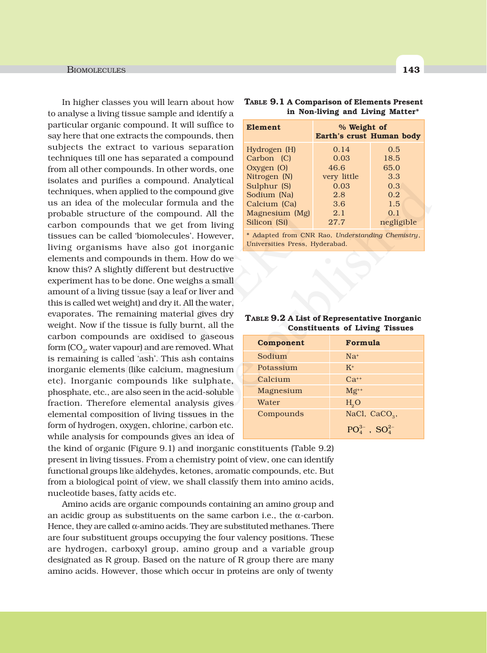#### BIOMOLECULES **143**

In higher classes you will learn about how to analyse a living tissue sample and identify a particular organic compound. It will suffice to say here that one extracts the compounds, then subjects the extract to various separation techniques till one has separated a compound from all other compounds. In other words, one isolates and purifies a compound. Analytical techniques, when applied to the compound give us an idea of the molecular formula and the probable structure of the compound. All the carbon compounds that we get from living tissues can be called 'biomolecules'. However, living organisms have also got inorganic elements and compounds in them. How do we know this? A slightly different but destructive experiment has to be done. One weighs a small amount of a living tissue (say a leaf or liver and this is called wet weight) and dry it. All the water, evaporates. The remaining material gives dry weight. Now if the tissue is fully burnt, all the carbon compounds are oxidised to gaseous form (CO<sub>2</sub>, water vapour) and are removed. What is remaining is called 'ash'. This ash contains inorganic elements (like calcium, magnesium etc). Inorganic compounds like sulphate, phosphate, etc., are also seen in the acid-soluble fraction. Therefore elemental analysis gives elemental composition of living tissues in the form of hydrogen, oxygen, chlorine, carbon etc. while analysis for compounds gives an idea of Profit in the compounds like sulphate,<br>
The discontinuity of the compound. All the Magnesium (Mg)<br>
Iled 'biomolecules'. However,<br>
Iled 'biomolecules'. However,<br>
Adapted from CNR Rao,<br>
s have also got inorganic binversities urmers a compounda. Analyteial<br>
en applied to the compound give  $\frac{0.03}{2}$ <br>
the molecular formula and the Calcium (Na)  $\frac{2.8}{2.6}$ <br>
the molecular formula and the Calcium (Na)  $\frac{2.8}{2.6}$ <br>
the molecular formula and t

| Element        | % Weight of<br>Earth's crust Human body |            |
|----------------|-----------------------------------------|------------|
| Hydrogen (H)   | 0.14                                    | 0.5        |
| Carbon (C)     | 0.03                                    | 18.5       |
| Oxygen (O)     | 46.6                                    | 65.0       |
| Nitrogen (N)   | very little                             | 3.3        |
| Sulphur (S)    | 0.03                                    | 0.3        |
| Sodium (Na)    | 2.8                                     | 0.2        |
| Calcium (Ca)   | 3.6                                     | 1.5        |
| Magnesium (Mg) | 2.1                                     | 0.1        |
| Silicon (Si)   | 27.7                                    | negligible |

**TABLE 9.1 A Comparison of Elements Present**

**in Non-living and Living Matter\***

| * Adapted from CNR Rao, Understanding Chemistry, |  |  |
|--------------------------------------------------|--|--|
| Universities Press, Hyderabad.                   |  |  |

Silicon (Si) 27.7 negligible

#### **TABLE 9.2 A List of Representative Inorganic Constituents of Living Tissues**

| Component | Formula                   |
|-----------|---------------------------|
| Sodium    | $Na+$                     |
| Potassium | $K^+$                     |
| Calcium   | $Ca^{++}$                 |
| Magnesium | $Mg^{++}$                 |
| Water     | H <sub>2</sub> O          |
| Compounds | NaCl, CaCO <sub>3</sub> , |
|           | $PO_4^{3-}$ , $SO_4^{2-}$ |

the kind of organic (Figure 9.1) and inorganic constituents (Table 9.2) present in living tissues. From a chemistry point of view, one can identify functional groups like aldehydes, ketones, aromatic compounds, etc. But from a biological point of view, we shall classify them into amino acids, nucleotide bases, fatty acids etc.

Amino acids are organic compounds containing an amino group and an acidic group as substituents on the same carbon i.e., the  $\alpha$ -carbon. Hence, they are called  $\alpha$ -amino acids. They are substituted methanes. There are four substituent groups occupying the four valency positions. These are hydrogen, carboxyl group, amino group and a variable group designated as R group. Based on the nature of R group there are many amino acids. However, those which occur in proteins are only of twenty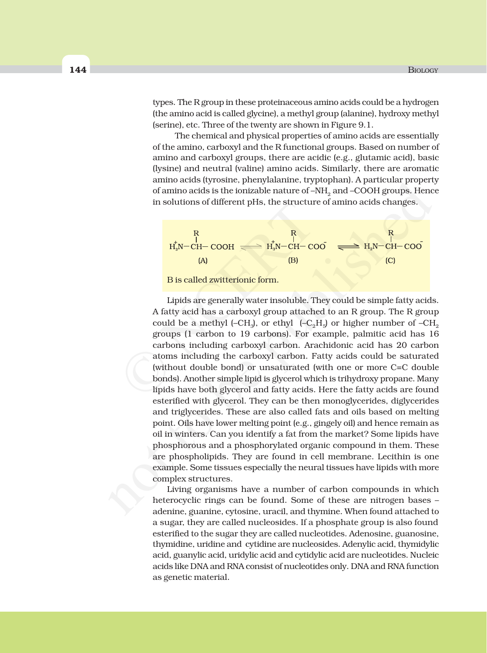types. The R group in these proteinaceous amino acids could be a hydrogen (the amino acid is called glycine), a methyl group (alanine), hydroxy methyl (serine), etc. Three of the twenty are shown in Figure 9.1.

The chemical and physical properties of amino acids are essentially of the amino, carboxyl and the R functional groups. Based on number of amino and carboxyl groups, there are acidic (e.g., glutamic acid), basic (lysine) and neutral (valine) amino acids. Similarly, there are aromatic amino acids (tyrosine, phenylalanine, tryptophan). A particular property of amino acids is the ionizable nature of -NH<sub>2</sub> and -COOH groups. Hence in solutions of different pHs, the structure of amino acids changes.

$$
H_{3}^{\dagger}N-CH-COOH \xrightarrow{\qquad H_{3}^{\dagger}N-CH-COO\qquad} \xrightarrow{\qquad H_{3}^{\dagger}N-CH-COO\qquad} \xrightarrow{\qquad H_{2}N-CH-COO\qquad} \xrightarrow{\qquad R}
$$
\n(A)\n(B)\n(C)

B is called zwitterionic form.

Lipids are generally water insoluble. They could be simple fatty acids. A fatty acid has a carboxyl group attached to an R group. The R group could be a methyl (–CH<sub>3</sub>), or ethyl (–C<sub>2</sub>H<sub>5</sub>) or higher number of –CH<sub>2</sub> groups (1 carbon to 19 carbons). For example, palmitic acid has 16 carbons including carboxyl carbon. Arachidonic acid has 20 carbon atoms including the carboxyl carbon. Fatty acids could be saturated (without double bond) or unsaturated (with one or more C=C double bonds). Another simple lipid is glycerol which is trihydroxy propane. Many lipids have both glycerol and fatty acids. Here the fatty acids are found esterified with glycerol. They can be then monoglycerides, diglycerides and triglycerides. These are also called fats and oils based on melting point. Oils have lower melting point (e.g., gingely oil) and hence remain as oil in winters. Can you identify a fat from the market? Some lipids have phosphorous and a phosphorylated organic compound in them. These are phospholipids. They are found in cell membrane. Lecithin is one example. Some tissues especially the neural tissues have lipids with more complex structures. In solutions of different pris, the structure of<br>  $H_3N-\text{CH}-\text{COOH} \iff H_3N-\text{CH}-\text{COO}$ <br>
(A) (B)<br>
B is called zwitterionic form.<br>
Lipids are generally water insoluble. They<br>
A fatty acid has a carboxyl group attached to<br>
cou namio action (sylonalic), the strengthandine, trypoplinant, and cooling the poperties of anino acids is the tonizable nature of -NH<sub>3</sub> and -COOH groups, Hence in solutions of different pHs, the structure of amino acids ch

Living organisms have a number of carbon compounds in which heterocyclic rings can be found. Some of these are nitrogen bases – adenine, guanine, cytosine, uracil, and thymine. When found attached to a sugar, they are called nucleosides. If a phosphate group is also found esterified to the sugar they are called nucleotides. Adenosine, guanosine, thymidine, uridine and cytidine are nucleosides. Adenylic acid, thymidylic acid, guanylic acid, uridylic acid and cytidylic acid are nucleotides. Nucleic acids like DNA and RNA consist of nucleotides only. DNA and RNA function as genetic material.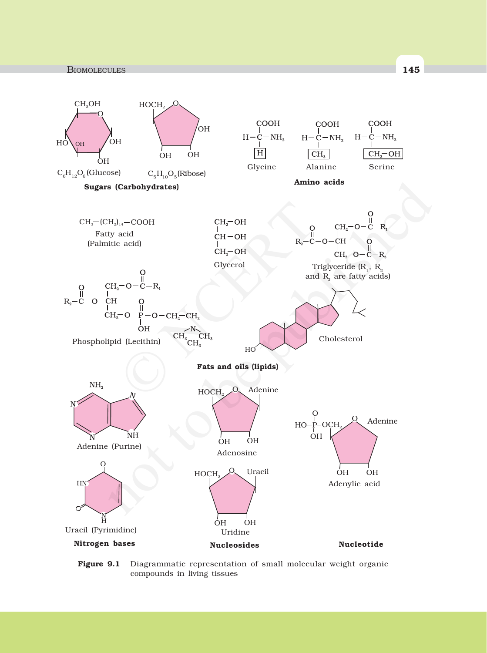

**Figure 9.1** Diagrammatic representation of small molecular weight organic compounds in living tissues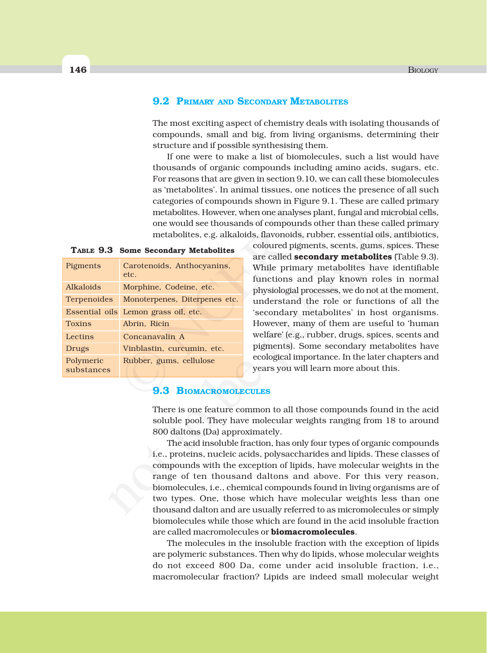## **9.2 PRIMARY AND SECONDARY METABOLITES**

The most exciting aspect of chemistry deals with isolating thousands of compounds, small and big, from living organisms, determining their structure and if possible synthesising them.

If one were to make a list of biomolecules, such a list would have thousands of organic compounds including amino acids, sugars, etc. For reasons that are given in section 9.10, we can call these biomolecules as 'metabolites'. In animal tissues, one notices the presence of all such categories of compounds shown in Figure 9.1. These are called primary metabolites. However, when one analyses plant, fungal and microbial cells, one would see thousands of compounds other than these called primary metabolites, e.g. alkaloids, flavonoids, rubber, essential oils, antibiotics,

#### **TABLE 9.3 Some Secondary Metabolites**

|               | categories of compounds shown in Figure 9.      |                        |
|---------------|-------------------------------------------------|------------------------|
|               | metabolites. However, when one analyses plant   |                        |
|               | one would see thousands of compounds other      |                        |
|               | metabolites, e.g. alkaloids, flavonoids, rubber |                        |
|               | TABLE 9.3 Some Secondary Metabolites            | coloured pigments,     |
|               |                                                 | are called secondar    |
| Pigments      | Carotenoids, Anthocyanins,                      | While primary met      |
|               | etc.                                            | functions and play     |
| Alkaloids     | Morphine, Codeine, etc.                         | physiologial processe  |
| Terpenoides   | Monoterpenes, Diterpenes etc.                   | understand the ro      |
|               | Essential oils Lemon grass oil, etc.            | 'secondary metabo      |
| <b>Toxins</b> | Abrin, Ricin                                    | However, many of t     |
| Lectins       | Concanavalin A                                  | welfare' (e.g., rubbe; |
| Drugs         | Vinblastin, curcumin, etc.                      | pigments). Some se     |
| Polymeric     | Rubber, gums, cellulose                         | ecological importano   |
| substances    |                                                 | years you will learn   |
|               |                                                 |                        |
|               | <b>BIOMACROMOLECULES</b><br>9.3                 |                        |
|               |                                                 |                        |

coloured pigments, scents, gums, spices. These are called **secondary metabolites** (Table 9.3). While primary metabolites have identifiable functions and play known roles in normal physiologial processes, we do not at the moment, understand the role or functions of all the 'secondary metabolites' in host organisms. However, many of them are useful to 'human welfare' (e.g., rubber, drugs, spices, scents and pigments). Some secondary metabolites have ecological importance. In the later chapters and years you will learn more about this. For teacheric at a given in section in Figure 9.1. These are denoted to an analytic and the section of the metabolites. In animal tissues, one notices the presence of all suce calced primar metabolites. However, when one

# **9.3 BIOMACROMOLECULES**

There is one feature common to all those compounds found in the acid soluble pool. They have molecular weights ranging from 18 to around 800 daltons (Da) approximately.

The acid insoluble fraction, has only four types of organic compounds i.e., proteins, nucleic acids, polysaccharides and lipids. These classes of compounds with the exception of lipids, have molecular weights in the range of ten thousand daltons and above. For this very reason, biomolecules, i.e., chemical compounds found in living organisms are of two types. One, those which have molecular weights less than one thousand dalton and are usually referred to as micromolecules or simply biomolecules while those which are found in the acid insoluble fraction are called macromolecules or **biomacromolecules**.

The molecules in the insoluble fraction with the exception of lipids are polymeric substances. Then why do lipids, whose molecular weights do not exceed 800 Da, come under acid insoluble fraction, i.e., macromolecular fraction? Lipids are indeed small molecular weight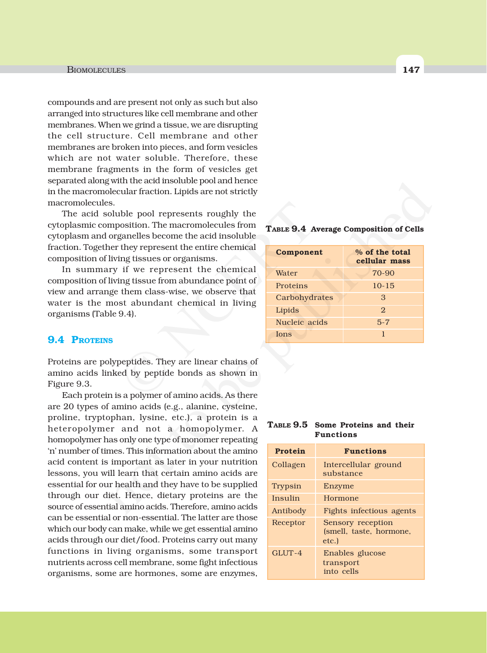compounds and are present not only as such but also arranged into structures like cell membrane and other membranes. When we grind a tissue, we are disrupting the cell structure. Cell membrane and other membranes are broken into pieces, and form vesicles which are not water soluble. Therefore, these membrane fragments in the form of vesicles get separated along with the acid insoluble pool and hence in the macromolecular fraction. Lipids are not strictly macromolecules.

The acid soluble pool represents roughly the cytoplasmic composition. The macromolecules from cytoplasm and organelles become the acid insoluble fraction. Together they represent the entire chemical composition of living tissues or organisms.

In summary if we represent the chemical composition of living tissue from abundance point of view and arrange them class-wise, we observe that water is the most abundant chemical in living organisms (Table 9.4). The pool represents roughly the<br>
sosition. The macromolecules from<br>
ganelles become the acid insoluble<br>
they represent the entire chemical<br>
ing tissues or organisms.<br>
if we represent the chemical<br>
ing tissue from abundance

## **9.4 PROTEINS**

Proteins are polypeptides. They are linear chains of amino acids linked by peptide bonds as shown in Figure 9.3.

Each protein is a polymer of amino acids. As there are 20 types of amino acids (e.g., alanine, cysteine, proline, tryptophan, lysine, etc.), a protein is a heteropolymer and not a homopolymer. A homopolymer has only one type of monomer repeating 'n' number of times. This information about the amino acid content is important as later in your nutrition lessons, you will learn that certain amino acids are essential for our health and they have to be supplied through our diet. Hence, dietary proteins are the source of essential amino acids. Therefore, amino acids can be essential or non-essential. The latter are those which our body can make, while we get essential amino acids through our diet/food. Proteins carry out many functions in living organisms, some transport nutrients across cell membrane, some fight infectious organisms, some are hormones, some are enzymes, with the acted msolution point and menced mentioned point and the published only and the published on the mention of component and the mention of component be acted insolute per the prepresent the entire chemical Twing the

**TABLE 9.4 Average Composition of Cells**

| Component     | % of the total<br>cellular mass |
|---------------|---------------------------------|
| Water         | 70-90                           |
| Proteins      | $10-15$                         |
| Carbohydrates | 3                               |
| Lipids        | $\mathfrak{D}$                  |
| Nucleic acids | $5 - 7$                         |
| Ions          | Π                               |

#### **TABLE 9.5 Some Proteins and their Functions**

| Protein  | <b>Functions</b>                                      |
|----------|-------------------------------------------------------|
| Collagen | Intercellular ground<br>substance                     |
| Trypsin  | Enzyme                                                |
| Insulin  | Hormone                                               |
| Antibody | Fights infectious agents                              |
| Receptor | Sensory reception<br>(smell, taste, hormone,<br>etc.) |
| GLUT-4   | Enables glucose<br>transport<br>into cells            |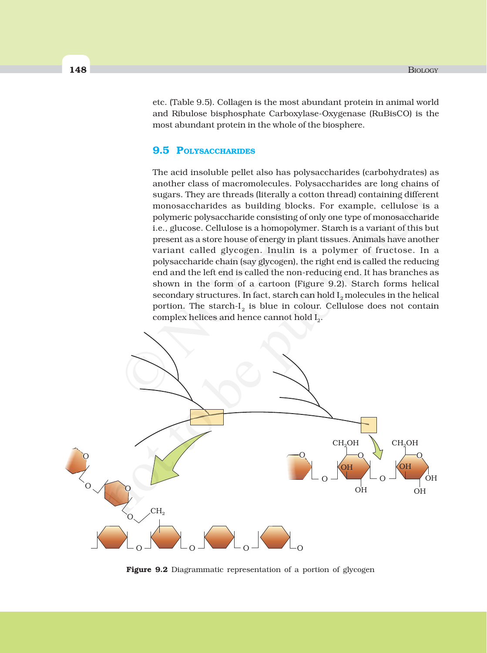etc. (Table 9.5). Collagen is the most abundant protein in animal world and Ribulose bisphosphate Carboxylase-Oxygenase (RuBisCO) is the most abundant protein in the whole of the biosphere.

## **9.5 POLYSACCHARIDES**

The acid insoluble pellet also has polysaccharides (carbohydrates) as another class of macromolecules. Polysaccharides are long chains of sugars. They are threads (literally a cotton thread) containing different monosaccharides as building blocks. For example, cellulose is a polymeric polysaccharide consisting of only one type of monosaccharide i.e., glucose. Cellulose is a homopolymer. Starch is a variant of this but present as a store house of energy in plant tissues. Animals have another variant called glycogen. Inulin is a polymer of fructose. In a polysaccharide chain (say glycogen), the right end is called the reducing end and the left end is called the non-reducing end. It has branches as shown in the form of a cartoon (Figure 9.2). Starch forms helical secondary structures. In fact, starch can hold  $\boldsymbol{\mathrm{I}}_2$ molecules in the helical portion. The starch-I<sub>2</sub> is blue in colour. Cellulose does not contain complex helices and hence cannot hold I<sub>2</sub>. monosaccharides as building blocks. For<br>polymeric polysaccharide consisting of only o<br>i.e., glucose. Cellulose is a homopolymer. Star present as a store house of energy in plant tiss<br>variant called glycogen. Inulin is a p



**Figure 9.2** Diagrammatic representation of a portion of glycogen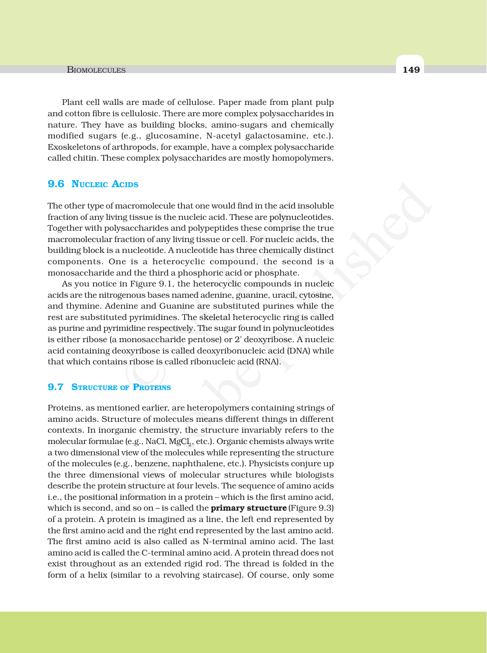Plant cell walls are made of cellulose. Paper made from plant pulp and cotton fibre is cellulosic. There are more complex polysaccharides in nature. They have as building blocks, amino-sugars and chemically modified sugars (e.g., glucosamine, N-acetyl galactosamine, etc.). Exoskeletons of arthropods, for example, have a complex polysaccharide called chitin. These complex polysaccharides are mostly homopolymers.

#### **9.6 NUCLEIC ACIDS**

The other type of macromolecule that one would find in the acid insoluble fraction of any living tissue is the nucleic acid. These are polynucleotides. Together with polysaccharides and polypeptides these comprise the true macromolecular fraction of any living tissue or cell. For nucleic acids, the building block is a nucleotide. A nucleotide has three chemically distinct components. One is a heterocyclic compound, the second is a monosaccharide and the third a phosphoric acid or phosphate.

As you notice in Figure 9.1, the heterocyclic compounds in nucleic acids are the nitrogenous bases named adenine, guanine, uracil, cytosine, and thymine. Adenine and Guanine are substituted purines while the rest are substituted pyrimidines. The skeletal heterocyclic ring is called as purine and pyrimidine respectively. The sugar found in polynucleotides is either ribose (a monosaccharide pentose) or 2' deoxyribose. A nucleic acid containing deoxyribose is called deoxyribonucleic acid (DNA) while that which contains ribose is called ribonucleic acid (RNA). macromolecule that one would find in the acid insoluble<br>metasure is the nucleic acid. These are polynucleotides<br>ysaccharides and polypeptides these comprise the true<br>raction of any living tissue or cell. For nucleic acids,

#### **9.7 STRUCTURE OF PROTEINS**

Proteins, as mentioned earlier, are heteropolymers containing strings of amino acids. Structure of molecules means different things in different contexts. In inorganic chemistry, the structure invariably refers to the molecular formulae (e.g., NaCl, MgCl, etc.). Organic chemists always write a two dimensional view of the molecules while representing the structure of the molecules (e.g., benzene, naphthalene, etc.). Physicists conjure up the three dimensional views of molecular structures while biologists describe the protein structure at four levels. The sequence of amino acids i.e., the positional information in a protein – which is the first amino acid, which is second, and so on – is called the **primary structure** (Figure 9.3) of a protein. A protein is imagined as a line, the left end represented by the first amino acid and the right end represented by the last amino acid. The first amino acid is also called as N-terminal amino acid. The last amino acid is called the C-terminal amino acid. A protein thread does not exist throughout as an extended rigid rod. The thread is folded in the form of a helix (similar to a revolving staircase). Of course, only some  $\epsilon$  Acros (states) and the method in the and those of the state of the state of the state of the parameteric and a polypepities these comprise the true of any layer product a nucleic acids. The range of the second state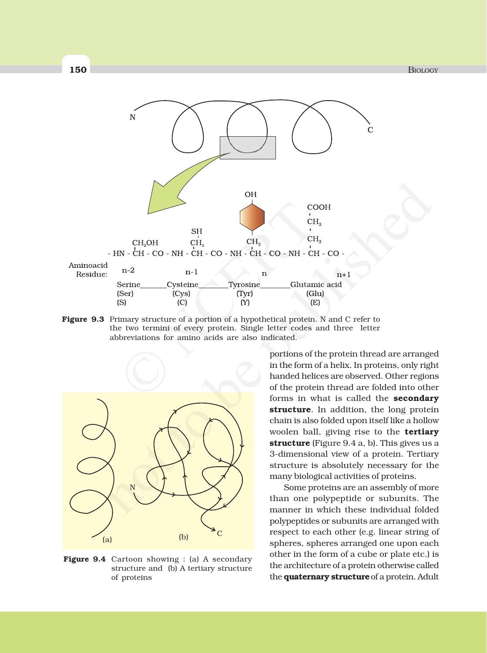

**Figure 9.3** Primary structure of a portion of a hypothetical protein. N and C refer to the two termini of every protein. Single letter codes and three letter abbreviations for amino acids are also indicated.



**Figure 9.4** Cartoon showing : (a) A secondary structure and (b) A tertiary structure of proteins

portions of the protein thread are arranged in the form of a helix. In proteins, only right handed helices are observed. Other regions of the protein thread are folded into other forms in what is called the **secondary structure**. In addition, the long protein chain is also folded upon itself like a hollow woolen ball, giving rise to the **tertiary structure** (Figure 9.4 a, b). This gives us a 3-dimensional view of a protein. Tertiary structure is absolutely necessary for the many biological activities of proteins.

Some proteins are an assembly of more than one polypeptide or subunits. The manner in which these individual folded polypeptides or subunits are arranged with respect to each other (e.g. linear string of spheres, spheres arranged one upon each other in the form of a cube or plate etc.) is the architecture of a protein otherwise called the **quaternary structure** of a protein. Adult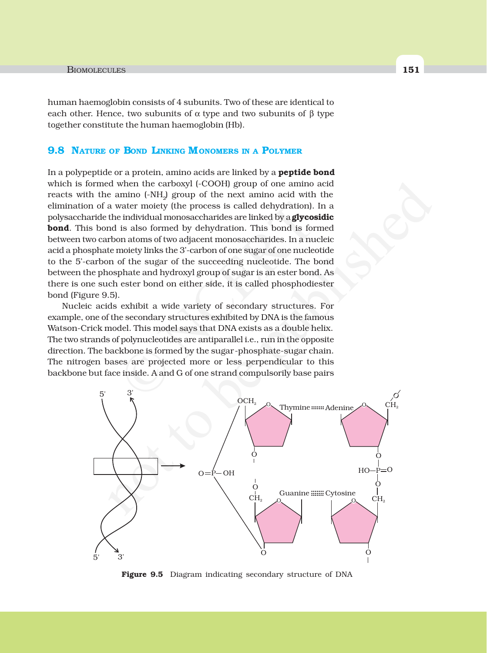human haemoglobin consists of 4 subunits. Two of these are identical to each other. Hence, two subunits of  $\alpha$  type and two subunits of  $\beta$  type together constitute the human haemoglobin (Hb).

# **9.8 NATURE OF BOND LINKING MONOMERS IN A POLYMER**

In a polypeptide or a protein, amino acids are linked by a **peptide bond** which is formed when the carboxyl (-COOH) group of one amino acid reacts with the amino (-NH<sub>2</sub>) group of the next amino acid with the elimination of a water moiety (the process is called dehydration). In a polysaccharide the individual monosaccharides are linked by a **glycosidic bond**. This bond is also formed by dehydration. This bond is formed between two carbon atoms of two adjacent monosaccharides. In a nucleic acid a phosphate moiety links the 3'-carbon of one sugar of one nucleotide to the 5'-carbon of the sugar of the succeeding nucleotide. The bond between the phosphate and hydroxyl group of sugar is an ester bond. As there is one such ester bond on either side, it is called phosphodiester bond (Figure 9.5). water moiety (the process is called dehydration). In a<br>
e individual monosaccharides are linked by a **glycosidic**<br>
is also formed by dehydration. This bond is formed<br>
on atoms of two adjacent monosaccharides. In a nucleid<br>

Nucleic acids exhibit a wide variety of secondary structures. For example, one of the secondary structures exhibited by DNA is the famous Watson-Crick model. This model says that DNA exists as a double helix. The two strands of polynucleotides are antiparallel i.e., run in the opposite direction. The backbone is formed by the sugar-phosphate-sugar chain. The nitrogen bases are projected more or less perpendicular to this backbone but face inside. A and G of one strand compulsorily base pairs



**Figure 9.5** Diagram indicating secondary structure of DNA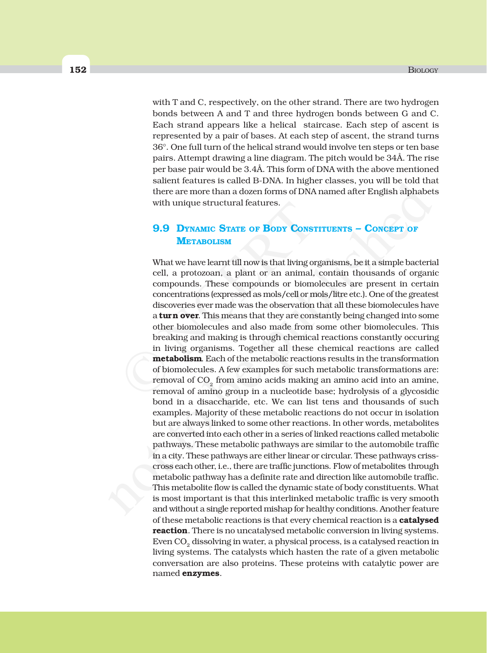with T and C, respectively, on the other strand. There are two hydrogen bonds between A and T and three hydrogen bonds between G and C. Each strand appears like a helical staircase. Each step of ascent is represented by a pair of bases. At each step of ascent, the strand turns 36°. One full turn of the helical strand would involve ten steps or ten base pairs. Attempt drawing a line diagram. The pitch would be 34Å. The rise per base pair would be 3.4Å. This form of DNA with the above mentioned salient features is called B-DNA. In higher classes, you will be told that there are more than a dozen forms of DNA named after English alphabets with unique structural features.

# **9.9 DYNAMIC STATE OF BODY CONSTITUENTS – CONCEPT OF METABOLISM**

What we have learnt till now is that living organisms, be it a simple bacterial cell, a protozoan, a plant or an animal, contain thousands of organic compounds. These compounds or biomolecules are present in certain concentrations (expressed as mols/cell or mols/litre etc.). One of the greatest discoveries ever made was the observation that all these biomolecules have a **turn over**. This means that they are constantly being changed into some other biomolecules and also made from some other biomolecules. This breaking and making is through chemical reactions constantly occuring in living organisms. Together all these chemical reactions are called **metabolism**. Each of the metabolic reactions results in the transformation of biomolecules. A few examples for such metabolic transformations are: removal of CO $_{\rm _2}$  from amino acids making an amino acid into an amine, removal of amino group in a nucleotide base; hydrolysis of a glycosidic bond in a disaccharide, etc. We can list tens and thousands of such examples. Majority of these metabolic reactions do not occur in isolation but are always linked to some other reactions. In other words, metabolites are converted into each other in a series of linked reactions called metabolic pathways. These metabolic pathways are similar to the automobile traffic in a city. These pathways are either linear or circular. These pathways crisscross each other, i.e., there are traffic junctions. Flow of metabolites through metabolic pathway has a definite rate and direction like automobile traffic. This metabolite flow is called the dynamic state of body constituents. What is most important is that this interlinked metabolic traffic is very smooth and without a single reported mishap for healthy conditions. Another feature of these metabolic reactions is that every chemical reaction is a **catalysed reaction**. There is no uncatalysed metabolic conversion in living systems. Even  $CO<sub>2</sub>$  dissolving in water, a physical process, is a catalysed reaction in living systems. The catalysts which hasten the rate of a given metabolic conversation are also proteins. These proteins with catalytic power are named **enzymes**. **9.9 DYNAMIC STATE OF BODY CONSTITU<br>
METABOLISM**<br>
What we have learnt till now is that living organ<br>
cell, a protozoan, a plant or an animal, con<br>
compounds. These compounds or biomolecu<br>
concentrations (expressed as mols siance it caturities is exaided ab-DMA. In migrar criasses, you will be tood than the team energy is exaided be published after English alphabet with unique structural features.<br>
9.9 DYNAMIC STATE OF BODY CONSTITUENTS – CO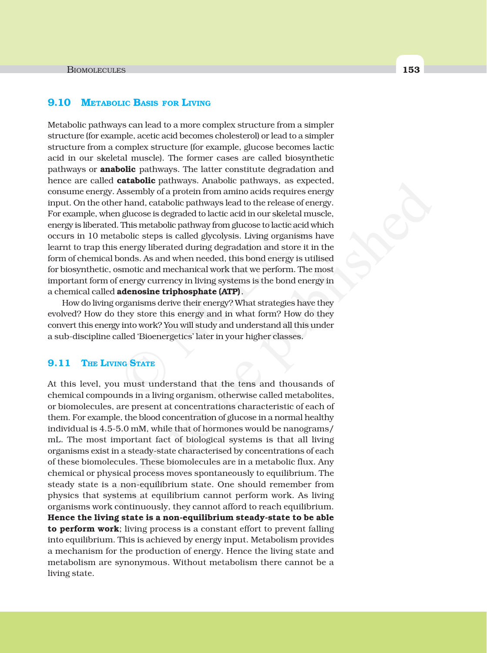## **9.10 METABOLIC BASIS FOR LIVING**

Metabolic pathways can lead to a more complex structure from a simpler structure (for example, acetic acid becomes cholesterol) or lead to a simpler structure from a complex structure (for example, glucose becomes lactic acid in our skeletal muscle). The former cases are called biosynthetic pathways or **anabolic** pathways. The latter constitute degradation and hence are called **catabolic** pathways. Anabolic pathways, as expected, consume energy. Assembly of a protein from amino acids requires energy input. On the other hand, catabolic pathways lead to the release of energy. For example, when glucose is degraded to lactic acid in our skeletal muscle, energy is liberated. This metabolic pathway from glucose to lactic acid which occurs in 10 metabolic steps is called glycolysis. Living organisms have learnt to trap this energy liberated during degradation and store it in the form of chemical bonds. As and when needed, this bond energy is utilised for biosynthetic, osmotic and mechanical work that we perform. The most important form of energy currency in living systems is the bond energy in a chemical called **adenosine triphosphate (ATP)**. r hand, catabolic pathways lead to the release of energy<br>a glucose is degraded to lactic acid in our skeletal muscle<br>This metabolic pathway from glucose to lactic acid which<br>abolic steps is called glycolysis. Living organi

How do living organisms derive their energy? What strategies have they evolved? How do they store this energy and in what form? How do they convert this energy into work? You will study and understand all this under a sub-discipline called 'Bioenergetics' later in your higher classes.

## **9.11 THE LIVING STATE**

At this level, you must understand that the tens and thousands of chemical compounds in a living organism, otherwise called metabolites, or biomolecules, are present at concentrations characteristic of each of them. For example, the blood concentration of glucose in a normal healthy individual is 4.5-5.0 mM, while that of hormones would be nanograms/ mL. The most important fact of biological systems is that all living organisms exist in a steady-state characterised by concentrations of each of these biomolecules. These biomolecules are in a metabolic flux. Any chemical or physical process moves spontaneously to equilibrium. The steady state is a non-equilibrium state. One should remember from physics that systems at equilibrium cannot perform work. As living organisms work continuously, they cannot afford to reach equilibrium. **Hence the living state is a non-equilibrium steady-state to be able to perform work**; living process is a constant effort to prevent falling into equilibrium. This is achieved by energy input. Metabolism provides a mechanism for the production of energy. Hence the living state and metabolism are synonymous. Without metabolism there cannot be a living state. or detainous and many systems. Analone pairways are seen the published and the published pairways is a seen the behavior of the relation of the relation of the relation of the mass of the mass of the mass of the mass of th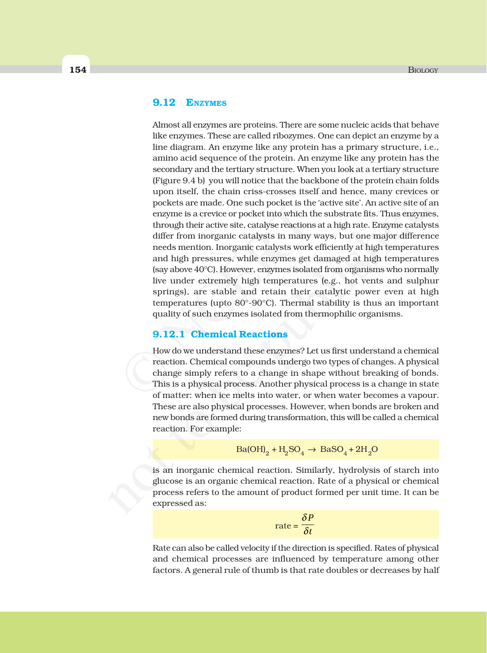## **9.12 ENZYMES**

Almost all enzymes are proteins. There are some nucleic acids that behave like enzymes. These are called ribozymes. One can depict an enzyme by a line diagram. An enzyme like any protein has a primary structure, i.e., amino acid sequence of the protein. An enzyme like any protein has the secondary and the tertiary structure. When you look at a tertiary structure (Figure 9.4 b) you will notice that the backbone of the protein chain folds upon itself, the chain criss-crosses itself and hence, many crevices or pockets are made. One such pocket is the 'active site'. An active site of an enzyme is a crevice or pocket into which the substrate fits. Thus enzymes, through their active site, catalyse reactions at a high rate. Enzyme catalysts differ from inorganic catalysts in many ways, but one major difference needs mention. Inorganic catalysts work efficiently at high temperatures and high pressures, while enzymes get damaged at high temperatures (say above 40°C). However, enzymes isolated from organisms who normally live under extremely high temperatures (e.g., hot vents and sulphur springs), are stable and retain their catalytic power even at high temperatures (upto 80°-90°C). Thermal stability is thus an important quality of such enzymes isolated from thermophilic organisms. pockets are made. One such pocket is the act<br>enzyme is a crevice or pocket into which the su<br>through their active site, catalyse reactions at a<br>differ from inorganic catalysts in many ways<br>needs mention. Inorganic catalyst prigne 9.4 a) you win noite that the backbono of the precisin cannot<br>upon itself, the chain criss-crosses itself and hence, many crevies a<br>pockets are made. One such pocket is the 'active stite'. An active stite of a<br>enzy

# **9.12.1 Chemical Reactions**

How do we understand these enzymes? Let us first understand a chemical reaction. Chemical compounds undergo two types of changes. A physical change simply refers to a change in shape without breaking of bonds. This is a physical process. Another physical process is a change in state of matter: when ice melts into water, or when water becomes a vapour. These are also physical processes. However, when bonds are broken and new bonds are formed during transformation, this will be called a chemical reaction. For example:

$$
\text{Ba(OH)}_2 + \text{H}_2\text{SO}_4 \rightarrow \text{BaSO}_4 + 2\text{H}_2\text{O}
$$

is an inorganic chemical reaction. Similarly, hydrolysis of starch into glucose is an organic chemical reaction. Rate of a physical or chemical process refers to the amount of product formed per unit time. It can be expressed as:

$$
\text{rate} = \frac{\delta P}{\delta t}
$$

Rate can also be called velocity if the direction is specified. Rates of physical and chemical processes are influenced by temperature among other factors. A general rule of thumb is that rate doubles or decreases by half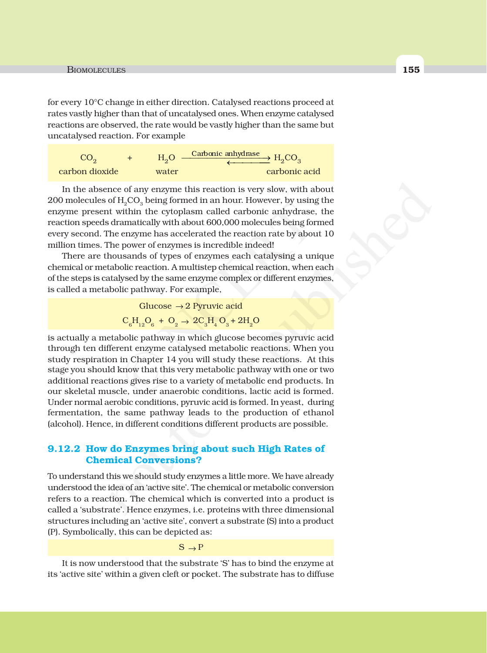for every 10°C change in either direction. Catalysed reactions proceed at rates vastly higher than that of uncatalysed ones. When enzyme catalysed reactions are observed, the rate would be vastly higher than the same but uncatalysed reaction. For example

|                |       | Carbonic anhydrase $\rightarrow$ H <sub>2</sub> CO <sub>3</sub> |
|----------------|-------|-----------------------------------------------------------------|
| carbon dioxide | water | carbonic acid                                                   |

In the absence of any enzyme this reaction is very slow, with about 200 molecules of  $H_2CO_3$  being formed in an hour. However, by using the enzyme present within the cytoplasm called carbonic anhydrase, the reaction speeds dramatically with about 600,000 molecules being formed every second. The enzyme has accelerated the reaction rate by about 10 million times. The power of enzymes is incredible indeed!

There are thousands of types of enzymes each catalysing a unique chemical or metabolic reaction. A multistep chemical reaction, when each of the steps is catalysed by the same enzyme complex or different enzymes, is called a metabolic pathway. For example,

> Glucose  $\rightarrow$  2 Pyruvic acid  $C_6H_{12}O_6 + O_2 \rightarrow 2C_3H_4O_3 + 2H_2O$

is actually a metabolic pathway in which glucose becomes pyruvic acid through ten different enzyme catalysed metabolic reactions. When you study respiration in Chapter 14 you will study these reactions. At this stage you should know that this very metabolic pathway with one or two additional reactions gives rise to a variety of metabolic end products. In our skeletal muscle, under anaerobic conditions, lactic acid is formed. Under normal aerobic conditions, pyruvic acid is formed. In yeast, during fermentation, the same pathway leads to the production of ethanol (alcohol). Hence, in different conditions different products are possible.  $H_2O_{3}$  being formed in all nodi. Towever, by using the within the cytoplasm called carbonic anhydrase, the cannatically with about 600,000 molecules being formec enzyme has accelerated the reaction rate by about 10 pow not of any enzyme this reaction is very slow, with about<br>of th<sub>2</sub>C<sub>O</sub>, being formed in an hour. However, by using the<br>of th<sub>2</sub>C<sub>O</sub>, being formed in an hour. However, by using the<br>dimensiones accelerated the reaction rate

# **9.12.2 How do Enzymes bring about such High Rates of Chemical Conversions?**

To understand this we should study enzymes a little more. We have already understood the idea of an 'active site'. The chemical or metabolic conversion refers to a reaction. The chemical which is converted into a product is called a 'substrate'. Hence enzymes, i.e. proteins with three dimensional structures including an 'active site', convert a substrate (S) into a product (P). Symbolically, this can be depicted as:

## $S \rightarrow P$

It is now understood that the substrate 'S' has to bind the enzyme at its 'active site' within a given cleft or pocket. The substrate has to diffuse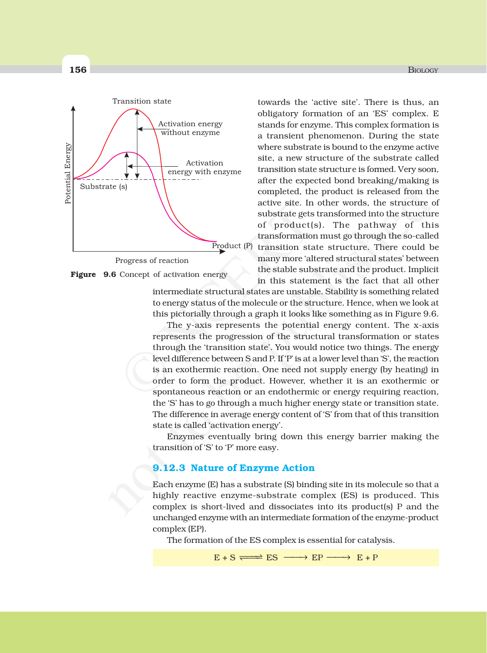



towards the 'active site'. There is thus, an obligatory formation of an 'ES' complex. E stands for enzyme. This complex formation is a transient phenomenon. During the state where substrate is bound to the enzyme active site, a new structure of the substrate called transition state structure is formed. Very soon, after the expected bond breaking/making is completed, the product is released from the active site. In other words, the structure of substrate gets transformed into the structure of product(s). The pathway of this transformation must go through the so-called Product (P) transition state structure. There could be many more 'altered structural states' between the stable substrate and the product. Implicit in this statement is the fact that all other

intermediate structural states are unstable. Stability is something related to energy status of the molecule or the structure. Hence, when we look at this pictorially through a graph it looks like something as in Figure 9.6.

The y-axis represents the potential energy content. The x-axis represents the progression of the structural transformation or states through the 'transition state'. You would notice two things. The energy level difference between S and P. If 'P' is at a lower level than 'S', the reaction is an exothermic reaction. One need not supply energy (by heating) in order to form the product. However, whether it is an exothermic or spontaneous reaction or an endothermic or energy requiring reaction, the 'S' has to go through a much higher energy state or transition state. The difference in average energy content of 'S' from that of this transition state is called 'activation energy'. active site. In other<br>substrate gets transformation must be substrate gets transformation must<br>Progress of reaction and product (P) transition state is transformation must be substrate in this statement intermediate struct are the expected both and recall the state of the expected both and reach the state of product (s). The particular sompleted, the product state state in the state of product (f) transition state structure. There could be

Enzymes eventually bring down this energy barrier making the transition of 'S' to 'P' more easy.

## **9.12.3 Nature of Enzyme Action**

Each enzyme (E) has a substrate (S) binding site in its molecule so that a highly reactive enzyme-substrate complex (ES) is produced. This complex is short-lived and dissociates into its product(s) P and the unchanged enzyme with an intermediate formation of the enzyme-product complex (EP).

The formation of the ES complex is essential for catalysis.

 $E + S \xrightarrow{\longrightarrow} ES \longrightarrow EP \longrightarrow E + P$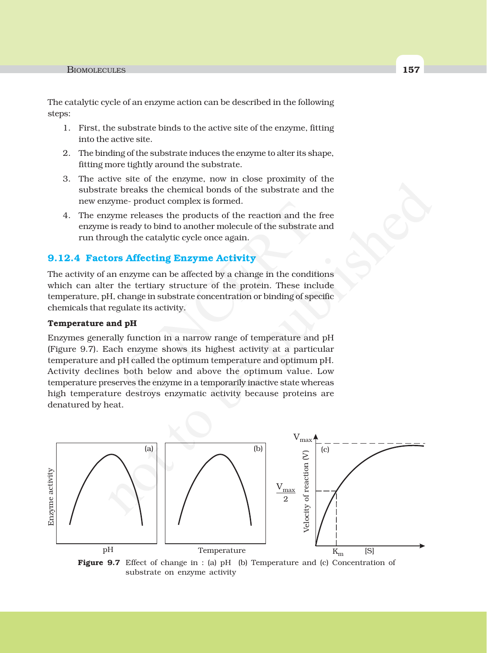The catalytic cycle of an enzyme action can be described in the following steps:

- 1. First, the substrate binds to the active site of the enzyme, fitting into the active site.
- 2. The binding of the substrate induces the enzyme to alter its shape, fitting more tightly around the substrate.
- 3. The active site of the enzyme, now in close proximity of the substrate breaks the chemical bonds of the substrate and the new enzyme- product complex is formed.
- 4. The enzyme releases the products of the reaction and the free enzyme is ready to bind to another molecule of the substrate and run through the catalytic cycle once again.

## **9.12.4 Factors Affecting Enzyme Activity**

The activity of an enzyme can be affected by a change in the conditions which can alter the tertiary structure of the protein. These include temperature, pH, change in substrate concentration or binding of specific chemicals that regulate its activity.

#### **Temperature and pH**

Enzymes generally function in a narrow range of temperature and pH (Figure 9.7). Each enzyme shows its highest activity at a particular temperature and pH called the optimum temperature and optimum pH. Activity declines both below and above the optimum value. Low temperature preserves the enzyme in a temporarily inactive state whereas high temperature destroys enzymatic activity because proteins are denatured by heat. ince-product complex is formed.<br>
me releases the products of the reaction and the free<br>
ready to bind to another molecule of the substrate and<br>
gh the catalytic cycle once again.<br> **s Affecting Enzyme Activity**<br>
enzyme can



**Figure 9.7** Effect of change in : (a) pH (b) Temperature and (c) Concentration of substrate on enzyme activity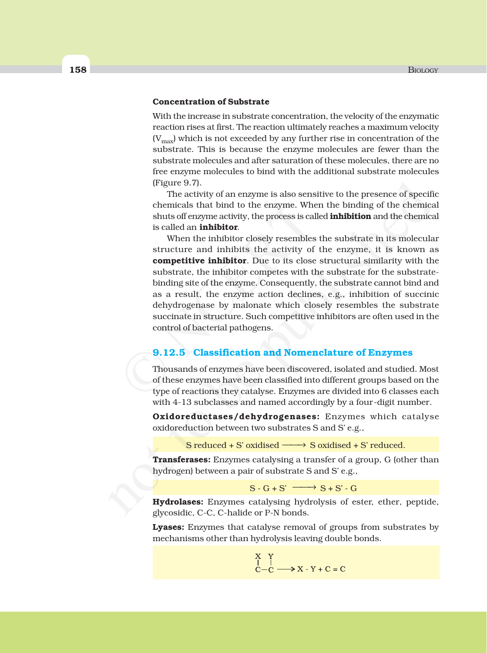#### **Concentration of Substrate**

With the increase in substrate concentration, the velocity of the enzymatic reaction rises at first. The reaction ultimately reaches a maximum velocity  $(V_{\text{max}})$  which is not exceeded by any further rise in concentration of the substrate. This is because the enzyme molecules are fewer than the substrate molecules and after saturation of these molecules, there are no free enzyme molecules to bind with the additional substrate molecules (Figure 9.7).

The activity of an enzyme is also sensitive to the presence of specific chemicals that bind to the enzyme. When the binding of the chemical shuts off enzyme activity, the process is called **inhibition** and the chemical is called an **inhibitor**.

When the inhibitor closely resembles the substrate in its molecular structure and inhibits the activity of the enzyme, it is known as **competitive inhibitor**. Due to its close structural similarity with the substrate, the inhibitor competes with the substrate for the substratebinding site of the enzyme. Consequently, the substrate cannot bind and as a result, the enzyme action declines, e.g., inhibition of succinic dehydrogenase by malonate which closely resembles the substrate succinate in structure. Such competitive inhibitors are often used in the control of bacterial pathogens. chemicals that bind to the enzyme. When the shuts of enzyme activity, the process is called is called an **inhibitor**.<br>
When the inhibitor closely resembles the structure and inhibits the activity of the **competitive inhibi** (Figure 9.7).<br>The activity of an enzyme is also sensitive to the presence of specific<br>chemicals that bind to the enzyme. When the binding of the chemicals<br>shuts of reazyone activity, the process is called **inhibition** and

## **9.12.5 Classification and Nomenclature of Enzymes**

Thousands of enzymes have been discovered, isolated and studied. Most of these enzymes have been classified into different groups based on the type of reactions they catalyse. Enzymes are divided into 6 classes each with 4-13 subclasses and named accordingly by a four-digit number.

**Oxidoreductases/dehydrogenases:** Enzymes which catalyse oxidoreduction between two substrates S and S' e.g.,

S reduced + S' oxidised  $\longrightarrow$  S oxidised + S' reduced.

**Transferases:** Enzymes catalysing a transfer of a group, G (other than hydrogen) between a pair of substrate S and S' e.g.,

 $S - G + S' \longrightarrow S + S' - G$ 

**Hydrolases:** Enzymes catalysing hydrolysis of ester, ether, peptide, glycosidic, C-C, C-halide or P-N bonds.

**Lyases:** Enzymes that catalyse removal of groups from substrates by mechanisms other than hydrolysis leaving double bonds.

$$
\begin{array}{c}\nX & Y \\
C - C & \longrightarrow X - Y + C = C\n\end{array}
$$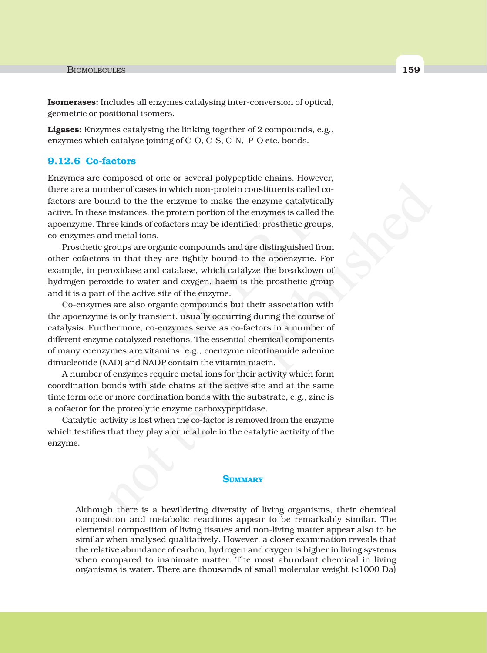**Isomerases:** Includes all enzymes catalysing inter-conversion of optical, geometric or positional isomers.

**Ligases:** Enzymes catalysing the linking together of 2 compounds, e.g., enzymes which catalyse joining of C-O, C-S, C-N, P-O etc. bonds.

# **9.12.6 Co-factors**

Enzymes are composed of one or several polypeptide chains. However, there are a number of cases in which non-protein constituents called cofactors are bound to the the enzyme to make the enzyme catalytically active. In these instances, the protein portion of the enzymes is called the apoenzyme. Three kinds of cofactors may be identified: prosthetic groups, co-enzymes and metal ions.

Prosthetic groups are organic compounds and are distinguished from other cofactors in that they are tightly bound to the apoenzyme. For example, in peroxidase and catalase, which catalyze the breakdown of hydrogen peroxide to water and oxygen, haem is the prosthetic group and it is a part of the active site of the enzyme.

Co-enzymes are also organic compounds but their association with the apoenzyme is only transient, usually occurring during the course of catalysis. Furthermore, co-enzymes serve as co-factors in a number of different enzyme catalyzed reactions. The essential chemical components of many coenzymes are vitamins, e.g., coenzyme nicotinamide adenine dinucleotide (NAD) and NADP contain the vitamin niacin. The content of the entry of the entry of the substrate.<br>
stances, the protein portion of the enzymes is called the kinds of cofactors may be identified: prosthetic groups<br>
netal ions.<br>
ups are organic compounds and are dis mpassar on the may may perparate channels. The comparation of the the care of the compute in the form of the compute in statistic in the theory in thick the protein portion of the enzymes is called the result insistences,

A number of enzymes require metal ions for their activity which form coordination bonds with side chains at the active site and at the same time form one or more cordination bonds with the substrate, e.g., zinc is a cofactor for the proteolytic enzyme carboxypeptidase.

Catalytic activity is lost when the co-factor is removed from the enzyme which testifies that they play a crucial role in the catalytic activity of the enzyme.

#### **SUMMARY**

Although there is a bewildering diversity of living organisms, their chemical composition and metabolic reactions appear to be remarkably similar. The elemental composition of living tissues and non-living matter appear also to be similar when analysed qualitatively. However, a closer examination reveals that the relative abundance of carbon, hydrogen and oxygen is higher in living systems when compared to inanimate matter. The most abundant chemical in living organisms is water. There are thousands of small molecular weight (<1000 Da)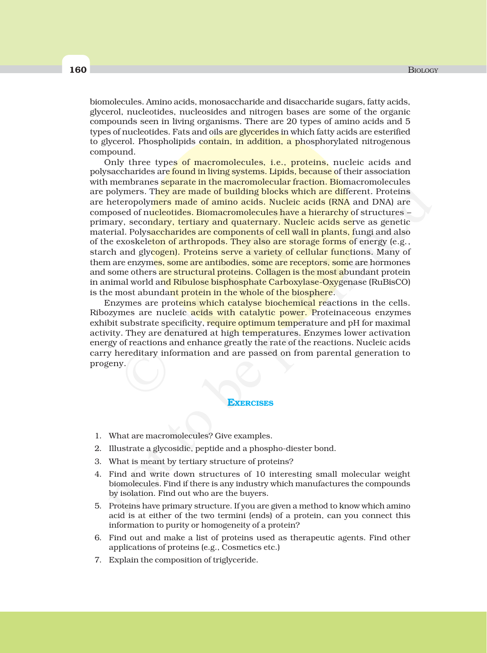biomolecules. Amino acids, monosaccharide and disaccharide sugars, fatty acids, glycerol, nucleotides, nucleosides and nitrogen bases are some of the organic compounds seen in living organisms. There are 20 types of amino acids and 5 types of nucleotides. Fats and oils are glycerides in which fatty acids are esterified to glycerol. Phospholipids contain, in addition, a phosphorylated nitrogenous compound.

Only three types of macromolecules, i.e., proteins, nucleic acids and polysaccharides are found in living systems. Lipids, because of their association with membranes separate in the macromolecular fraction. Biomacromolecules are polymers. They are made of building blocks which are different. Proteins are heteropolymers made of amino acids. Nucleic acids (RNA and DNA) are composed of nucleotides. Biomacromolecules have a hierarchy of structures – primary, secondary, tertiary and quaternary. Nucleic acids serve as genetic material. Polysaccharides are components of cell wall in plants, fungi and also of the exoskeleton of arthropods. They also are storage forms of energy  $(e.g.,)$ starch and glycogen). Proteins serve a variety of cellular functions. Many of them are enzymes, some are antibodies, some are receptors, some are hormones and some others are structural proteins. Collagen is the most abundant protein in animal world and Ribulose bisphosphate Carboxylase-Oxygenase (RuBisCO) is the most abundant protein in the whole of the biosphere. eropolymers made of amino acids. Nucleic acids (see of nucleotides. Biomacromolecules have a hierary, secondary, tertairy and quaternary. Nucleic acids all, Polysaccharides are components of cell wall in plase sexoskeleton membranes separate in the macromolecular fraction. Biomaromolecules<br>nonlyments, They are made of building blocks which are different. Proteins<br>polymers. They are made of building blocks which are different. Proteins<br>posed

Enzymes are proteins which catalyse biochemical reactions in the cells. Ribozymes are nucleic acids with catalytic power. Proteinaceous enzymes exhibit substrate specificity, require optimum temperature and pH for maximal activity. They are denatured at high temperatures. Enzymes lower activation energy of reactions and enhance greatly the rate of the reactions. Nucleic acids carry hereditary information and are passed on from parental generation to progeny.

#### **EXERCISES**

- 1. What are macromolecules? Give examples.
- 2. Illustrate a glycosidic, peptide and a phospho-diester bond.
- 3. What is meant by tertiary structure of proteins?
- 4. Find and write down structures of 10 interesting small molecular weight biomolecules. Find if there is any industry which manufactures the compounds by isolation. Find out who are the buyers.
- 5. Proteins have primary structure. If you are given a method to know which amino acid is at either of the two termini (ends) of a protein, can you connect this information to purity or homogeneity of a protein?
- 6. Find out and make a list of proteins used as therapeutic agents. Find other applications of proteins (e.g., Cosmetics etc.)
- 7. Explain the composition of triglyceride.